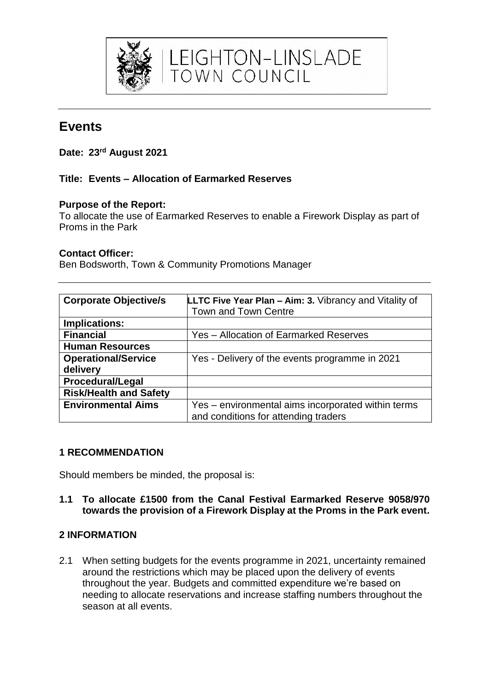

# **Events**

**Date: 23rd August 2021**

## **Title: Events – Allocation of Earmarked Reserves**

#### **Purpose of the Report:**

To allocate the use of Earmarked Reserves to enable a Firework Display as part of Proms in the Park

#### **Contact Officer:**

Ben Bodsworth, Town & Community Promotions Manager

| <b>Corporate Objective/s</b>  | <b>LLTC Five Year Plan – Aim: 3. Vibrancy and Vitality of</b> |
|-------------------------------|---------------------------------------------------------------|
|                               | Town and Town Centre                                          |
| Implications:                 |                                                               |
| <b>Financial</b>              | Yes - Allocation of Earmarked Reserves                        |
| <b>Human Resources</b>        |                                                               |
| <b>Operational/Service</b>    | Yes - Delivery of the events programme in 2021                |
| delivery                      |                                                               |
| <b>Procedural/Legal</b>       |                                                               |
| <b>Risk/Health and Safety</b> |                                                               |
| <b>Environmental Aims</b>     | Yes - environmental aims incorporated within terms            |
|                               | and conditions for attending traders                          |

#### **1 RECOMMENDATION**

Should members be minded, the proposal is:

#### **1.1 To allocate £1500 from the Canal Festival Earmarked Reserve 9058/970 towards the provision of a Firework Display at the Proms in the Park event.**

### **2 INFORMATION**

2.1 When setting budgets for the events programme in 2021, uncertainty remained around the restrictions which may be placed upon the delivery of events throughout the year. Budgets and committed expenditure we're based on needing to allocate reservations and increase staffing numbers throughout the season at all events.